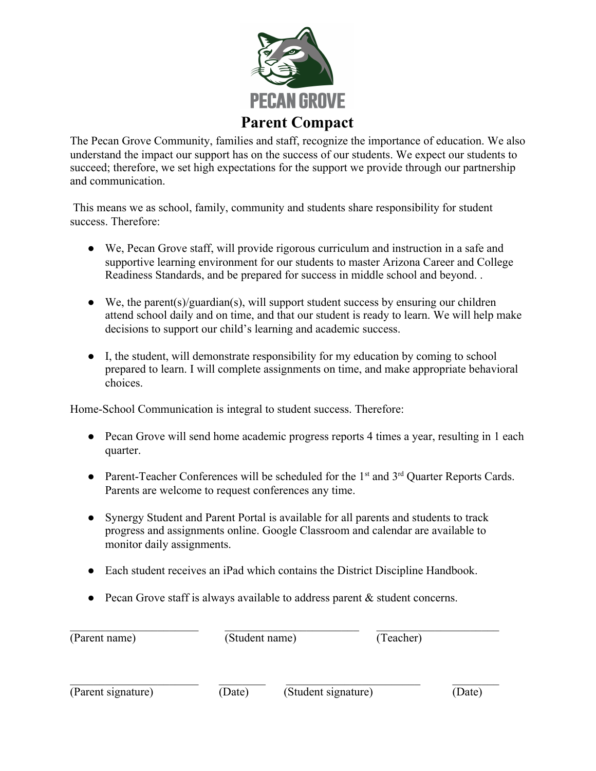

The Pecan Grove Community, families and staff, recognize the importance of education. We also understand the impact our support has on the success of our students. We expect our students to succeed; therefore, we set high expectations for the support we provide through our partnership and communication.

 This means we as school, family, community and students share responsibility for student success. Therefore:

- We, Pecan Grove staff, will provide rigorous curriculum and instruction in a safe and supportive learning environment for our students to master Arizona Career and College Readiness Standards, and be prepared for success in middle school and beyond. .
- $\bullet$  We, the parent(s)/guardian(s), will support student success by ensuring our children attend school daily and on time, and that our student is ready to learn. We will help make decisions to support our child's learning and academic success.
- I, the student, will demonstrate responsibility for my education by coming to school prepared to learn. I will complete assignments on time, and make appropriate behavioral choices.

Home-School Communication is integral to student success. Therefore:

- Pecan Grove will send home academic progress reports 4 times a year, resulting in 1 each quarter.
- Parent-Teacher Conferences will be scheduled for the 1<sup>st</sup> and 3<sup>rd</sup> Quarter Reports Cards. Parents are welcome to request conferences any time.
- Synergy Student and Parent Portal is available for all parents and students to track progress and assignments online. Google Classroom and calendar are available to monitor daily assignments.
- Each student receives an iPad which contains the District Discipline Handbook.
- Pecan Grove staff is always available to address parent  $&$  student concerns.

| (Parent name)<br>(Parent signature) | (Student name) |                     | (Teacher) |        |
|-------------------------------------|----------------|---------------------|-----------|--------|
|                                     | (Date)         | (Student signature) |           | (Date) |